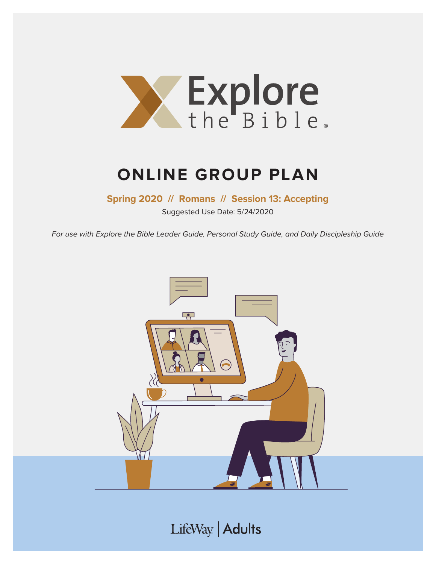

# **ONLINE GROUP PLAN**

**Spring 2020 // Romans // Session 13: Accepting**

Suggested Use Date: 5/24/2020

For use with Explore the Bible Leader Guide, Personal Study Guide, and Daily Discipleship Guide



LifeWay | Adults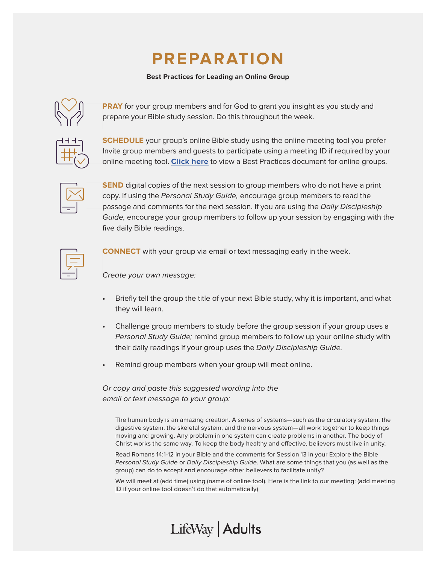# **PREPARATION**

#### **Best Practices for Leading an Online Group**



**PRAY** for your group members and for God to grant you insight as you study and prepare your Bible study session. Do this throughout the week.

**SCHEDULE** your group's online Bible study using the online meeting tool you prefer Invite group members and guests to participate using a meeting ID if required by your online meeting tool. **[Click here](https://s3.amazonaws.com/LWbranding/bsfl2019/2020/04/Online_Bible_Study_Best_Practices.pdf)** to view a Best Practices document for online groups.



**SEND** digital copies of the next session to group members who do not have a print copy. If using the Personal Study Guide, encourage group members to read the passage and comments for the next session. If you are using the Daily Discipleship Guide, encourage your group members to follow up your session by engaging with the five daily Bible readings.



**CONNECT** with your group via email or text messaging early in the week.

Create your own message:

- Briefly tell the group the title of your next Bible study, why it is important, and what they will learn.
- Challenge group members to study before the group session if your group uses a Personal Study Guide; remind group members to follow up your online study with their daily readings if your group uses the Daily Discipleship Guide.
- Remind group members when your group will meet online.

LifeWay | Adults

Or copy and paste this suggested wording into the email or text message to your group:

The human body is an amazing creation. A series of systems—such as the circulatory system, the digestive system, the skeletal system, and the nervous system—all work together to keep things moving and growing. Any problem in one system can create problems in another. The body of Christ works the same way. To keep the body healthy and effective, believers must live in unity.

Read Romans 14:1-12 in your Bible and the comments for Session 13 in your Explore the Bible Personal Study Guide or Daily Discipleship Guide. What are some things that you (as well as the group) can do to accept and encourage other believers to facilitate unity?

We will meet at (add time) using (name of online tool). Here is the link to our meeting: (add meeting ID if your online tool doesn't do that automatically)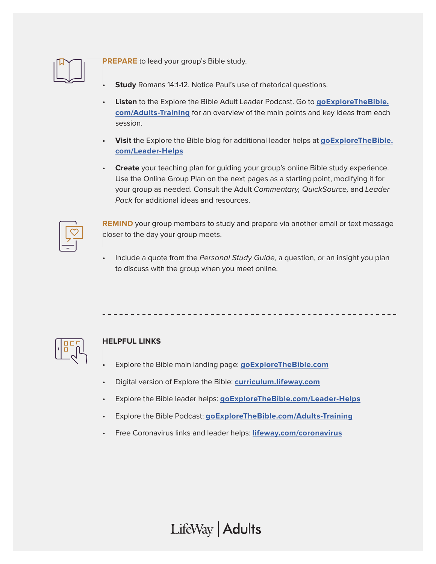

**PREPARE** to lead your group's Bible study.

- **Study** Romans 14:1-12. Notice Paul's use of rhetorical questions.
- **Listen** to the Explore the Bible Adult Leader Podcast. Go to **[goExploreTheBible.](https://goexplorethebible.com/adults-training/) [com/Adults-Training](https://goexplorethebible.com/adults-training/)** for an overview of the main points and key ideas from each session.
- **Visit** the Explore the Bible blog for additional leader helps at **[goExploreTheBible.](https://goexplorethebible.com/blog/) [com/L](https://goexplorethebible.com/blog/)eader-Helps**
- **Create** your teaching plan for guiding your group's online Bible study experience. Use the Online Group Plan on the next pages as a starting point, modifying it for your group as needed. Consult the Adult Commentary, QuickSource, and Leader Pack for additional ideas and resources.

**REMIND** your group members to study and prepare via another email or text message closer to the day your group meets.

Include a quote from the Personal Study Guide, a question, or an insight you plan to discuss with the group when you meet online.



### **HELPFUL LINKS**

- Explore the Bible main landing page: **[goExploreTheBible.com](https://goexplorethebible.com/)**
- Digital version of Explore the Bible: **[curriculum.lifeway.com](https://curriculum.lifeway.com/#/)**
- Explore the Bible leader helps: **[goExploreTheBible.com/L](https://goexplorethebible.com/blog/)eader-Helps**
- Explore the Bible Podcast: **[goExploreTheBible.com/Adults-Training](https://goexplorethebible.com/adults-training/)**
- Free Coronavirus links and leader helps: **[lifeway.com/coronavirus](https://www.lifeway.com/coronavirus)**

LifeWay | Adults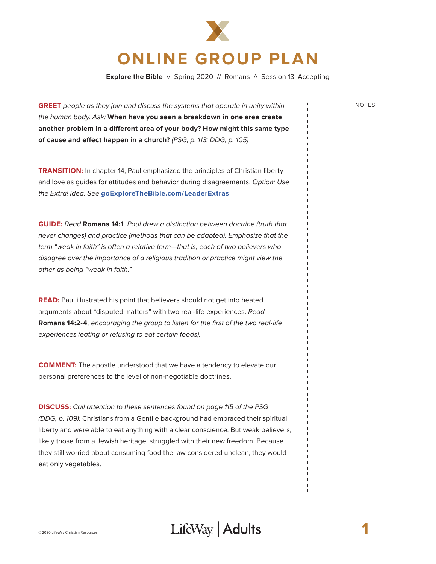

**Explore the Bible** // Spring 2020 // Romans // Session 13: Accepting

**GREET** people as they join and discuss the systems that operate in unity within NOTES the human body. Ask: **When have you seen a breakdown in one area create another problem in a different area of your body? How might this same type of cause and effect happen in a church?** (PSG, p. 113; DDG, p. 105)

**TRANSITION:** In chapter 14, Paul emphasized the principles of Christian liberty and love as guides for attitudes and behavior during disagreements. Option: Use the Extra! idea. See **[goExploreTheBible.com/LeaderExtras](https://goexplorethebible.com/leaderextras/)**

**GUIDE:** Read **Romans 14:1**. Paul drew a distinction between doctrine (truth that never changes) and practice (methods that can be adapted). Emphasize that the term "weak in faith" is often a relative term—that is, each of two believers who disagree over the importance of a religious tradition or practice might view the other as being "weak in faith."

**READ:** Paul illustrated his point that believers should not get into heated arguments about "disputed matters" with two real-life experiences. Read **Romans 14:2-4**, encouraging the group to listen for the first of the two real-life experiences (eating or refusing to eat certain foods).

**COMMENT:** The apostle understood that we have a tendency to elevate our personal preferences to the level of non-negotiable doctrines.

**DISCUSS:** Call attention to these sentences found on page 115 of the PSG (DDG, p. 109): Christians from a Gentile background had embraced their spiritual liberty and were able to eat anything with a clear conscience. But weak believers, likely those from a Jewish heritage, struggled with their new freedom. Because they still worried about consuming food the law considered unclean, they would eat only vegetables.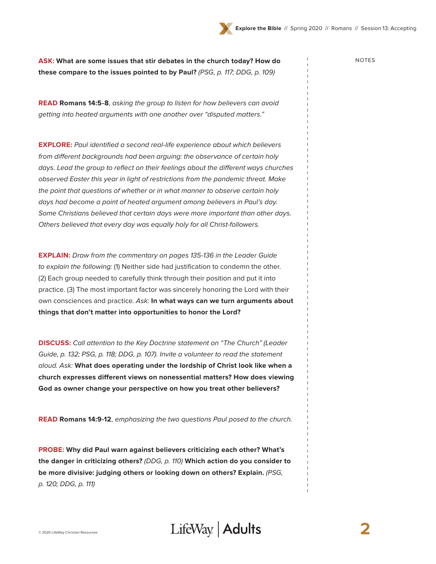### **ASK:** What are some issues that stir debates in the church today? How do NOTES **these compare to the issues pointed to by Paul?** (PSG, p. 117; DDG, p. 109)

**READ Romans 14:5-8**, asking the group to listen for how believers can avoid getting into heated arguments with one another over "disputed matters."

**EXPLORE:** Paul identified a second real-life experience about which believers from different backgrounds had been arguing: the observance of certain holy days. Lead the group to reflect on their feelings about the different ways churches observed Easter this year in light of restrictions from the pandemic threat. Make the point that questions of whether or in what manner to observe certain holy days had become a point of heated argument among believers in Paul's day. Some Christians believed that certain days were more important than other days. Others believed that every day was equally holy for all Christ-followers.

**EXPLAIN:** Draw from the commentary on pages 135-136 in the Leader Guide to explain the following: (1) Neither side had justification to condemn the other. (2) Each group needed to carefully think through their position and put it into practice. (3) The most important factor was sincerely honoring the Lord with their own consciences and practice. Ask: **In what ways can we turn arguments about things that don't matter into opportunities to honor the Lord?**

**DISCUSS:** Call attention to the Key Doctrine statement on "The Church" (Leader Guide, p. 132; PSG, p. 118; DDG, p. 107). Invite a volunteer to read the statement aloud. Ask: **What does operating under the lordship of Christ look like when a church expresses different views on nonessential matters? How does viewing God as owner change your perspective on how you treat other believers?**

**READ Romans 14:9-12**, emphasizing the two questions Paul posed to the church.

**PROBE: Why did Paul warn against believers criticizing each other? What's the danger in criticizing others?** (DDG, p. 110) **Which action do you consider to be more divisive: judging others or looking down on others? Explain.** (PSG, p. 120; DDG, p. 111)